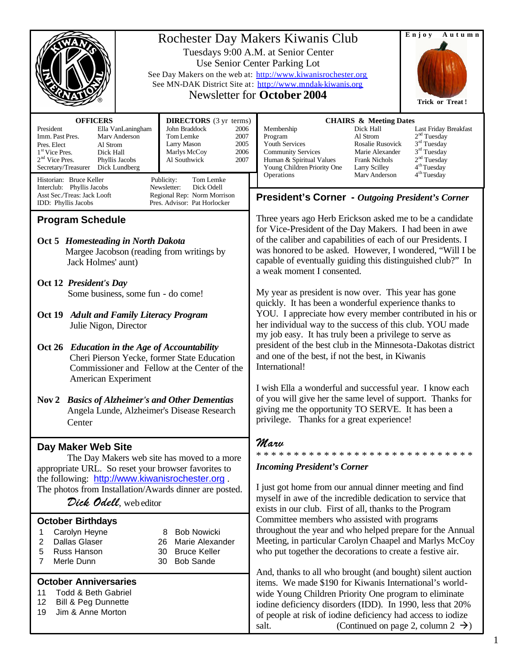| Rochester Day Makers Kiwanis Club<br>Tuesdays 9:00 A.M. at Senior Center<br>Use Senior Center Parking Lot<br>See Day Makers on the web at: http://www.kiwanisrochester.org<br>See MN-DAK District Site at: http://www.mndak-kiwanis.org<br><b>Newsletter for October 2004</b>                                                                                     | Enjoy<br>Autumn<br><b>Trick or Treat!</b>                                                                                                                                                                                                                                                                                                                             |                                                                                                                                                                                                                                                                                                                                                                                                                                                       |  |
|-------------------------------------------------------------------------------------------------------------------------------------------------------------------------------------------------------------------------------------------------------------------------------------------------------------------------------------------------------------------|-----------------------------------------------------------------------------------------------------------------------------------------------------------------------------------------------------------------------------------------------------------------------------------------------------------------------------------------------------------------------|-------------------------------------------------------------------------------------------------------------------------------------------------------------------------------------------------------------------------------------------------------------------------------------------------------------------------------------------------------------------------------------------------------------------------------------------------------|--|
| <b>OFFICERS</b><br><b>DIRECTORS</b> (3 yr terms)<br>President<br>John Braddock<br>Ella VanLaningham<br>Tom Lemke<br>Imm. Past Pres.<br>Mary Anderson<br>Larry Mason<br>Pres. Elect<br>Al Strom<br>Marlys McCoy<br>1 <sup>st</sup> Vice Pres.<br>Dick Hall<br>2 <sup>nd</sup> Vice Pres.<br>Phyllis Jacobs<br>Al Southwick<br>Secretary/Treasurer<br>Dick Lundberg | <b>CHAIRS &amp; Meeting Dates</b><br>2006<br>Membership<br>Dick Hall<br>2007<br>Program<br>Al Strom<br>2005<br>Youth Services<br>Rosalie Rusovick<br>2006<br>Marie Alexander<br><b>Community Services</b><br>2007<br>Human & Spiritual Values<br><b>Frank Nichols</b><br>Young Children Priority One<br><b>Larry Scilley</b><br>Operations<br>Mary Anderson           | Last Friday Breakfast<br>2 <sup>nd</sup> Tuesday<br>3 <sup>rd</sup> Tuesday<br>$3rd$ Tuesday<br>2 <sup>nd</sup> Tuesday<br>4 <sup>th</sup> Tuesday<br>4 <sup>th</sup> Tuesday                                                                                                                                                                                                                                                                         |  |
| Historian: Bruce Keller<br>Publicity:<br>Tom Lemke<br>Newsletter:<br>Dick Odell<br>Interclub: Phyllis Jacobs<br>Asst Sec./Treas: Jack Looft<br>Regional Rep: Norm Morrison<br>Pres. Advisor: Pat Horlocker<br>IDD: Phyllis Jacobs                                                                                                                                 | <b>President's Corner</b> - Outgoing President's Corner                                                                                                                                                                                                                                                                                                               |                                                                                                                                                                                                                                                                                                                                                                                                                                                       |  |
| <b>Program Schedule</b><br>Oct 5 Homesteading in North Dakota<br>Margee Jacobson (reading from writings by<br>Jack Holmes' aunt)                                                                                                                                                                                                                                  | a weak moment I consented.                                                                                                                                                                                                                                                                                                                                            | Three years ago Herb Erickson asked me to be a candidate<br>for Vice-President of the Day Makers. I had been in awe<br>of the caliber and capabilities of each of our Presidents. I<br>was honored to be asked. However, I wondered, "Will I be<br>capable of eventually guiding this distinguished club?" In                                                                                                                                         |  |
| Oct 12 President's Day<br>Some business, some fun - do come!<br>Oct 19 Adult and Family Literacy Program<br>Julie Nigon, Director<br>Oct 26 Education in the Age of Accountability<br>Cheri Pierson Yecke, former State Education<br>Commissioner and Fellow at the Center of the                                                                                 | International!                                                                                                                                                                                                                                                                                                                                                        | My year as president is now over. This year has gone<br>quickly. It has been a wonderful experience thanks to<br>YOU. I appreciate how every member contributed in his or<br>her individual way to the success of this club. YOU made<br>my job easy. It has truly been a privilege to serve as<br>president of the best club in the Minnesota-Dakotas district<br>and one of the best, if not the best, in Kiwanis                                   |  |
| American Experiment<br>Nov 2 Basics of Alzheimer's and Other Dementias<br>Angela Lunde, Alzheimer's Disease Research<br>Center                                                                                                                                                                                                                                    |                                                                                                                                                                                                                                                                                                                                                                       | I wish Ella a wonderful and successful year. I know each<br>of you will give her the same level of support. Thanks for<br>giving me the opportunity TO SERVE. It has been a<br>privilege. Thanks for a great experience!                                                                                                                                                                                                                              |  |
| Day Maker Web Site<br>The Day Makers web site has moved to a more<br>appropriate URL. So reset your browser favorites to<br>the following: http://www.kiwanisrochester.org.<br>The photos from Installation/Awards dinner are posted.<br>Dick Odell, web editor                                                                                                   | Marv<br><b>Incoming President's Corner</b>                                                                                                                                                                                                                                                                                                                            | ****************************<br>I just got home from our annual dinner meeting and find<br>myself in awe of the incredible dedication to service that<br>exists in our club. First of all, thanks to the Program<br>Committee members who assisted with programs<br>throughout the year and who helped prepare for the Annual<br>Meeting, in particular Carolyn Chaapel and Marlys McCoy<br>who put together the decorations to create a festive air. |  |
| <b>October Birthdays</b><br>Carolyn Heyne<br><b>Bob Nowicki</b><br>8<br>1<br>2<br>Dallas Glaser<br>Marie Alexander<br>26<br>5<br>Russ Hanson<br><b>Bruce Keller</b><br>30<br>7<br>Merle Dunn<br><b>Bob Sande</b><br>30                                                                                                                                            |                                                                                                                                                                                                                                                                                                                                                                       |                                                                                                                                                                                                                                                                                                                                                                                                                                                       |  |
| <b>October Anniversaries</b><br>11<br><b>Todd &amp; Beth Gabriel</b><br>12<br>Bill & Peg Dunnette<br>Jim & Anne Morton<br>19                                                                                                                                                                                                                                      | And, thanks to all who brought (and bought) silent auction<br>items. We made \$190 for Kiwanis International's world-<br>wide Young Children Priority One program to eliminate<br>iodine deficiency disorders (IDD). In 1990, less that 20%<br>of people at risk of iodine deficiency had access to iodize<br>(Continued on page 2, column $2 \rightarrow$ )<br>salt. |                                                                                                                                                                                                                                                                                                                                                                                                                                                       |  |